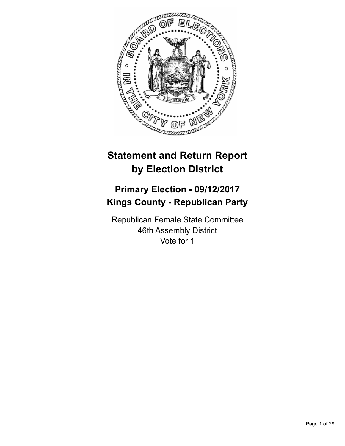

# **Statement and Return Report by Election District**

# **Primary Election - 09/12/2017 Kings County - Republican Party**

Republican Female State Committee 46th Assembly District Vote for 1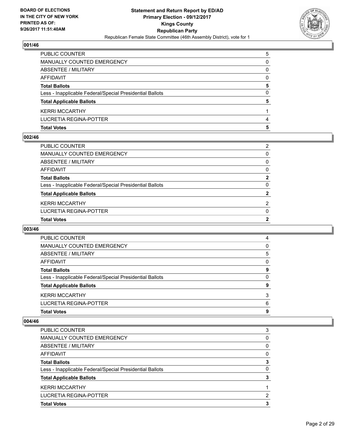

| <b>Total Votes</b>                                       | 5 |
|----------------------------------------------------------|---|
| <b>LUCRETIA REGINA-POTTER</b>                            | 4 |
| <b>KERRI MCCARTHY</b>                                    |   |
| <b>Total Applicable Ballots</b>                          | 5 |
| Less - Inapplicable Federal/Special Presidential Ballots | 0 |
| <b>Total Ballots</b>                                     | 5 |
| AFFIDAVIT                                                | 0 |
| ABSENTEE / MILITARY                                      | 0 |
| MANUALLY COUNTED EMERGENCY                               | 0 |
| PUBLIC COUNTER                                           | 5 |

## **002/46**

| PUBLIC COUNTER                                           | 2              |
|----------------------------------------------------------|----------------|
| MANUALLY COUNTED EMERGENCY                               | 0              |
| ABSENTEE / MILITARY                                      | $\mathbf{0}$   |
| AFFIDAVIT                                                | $\mathbf{0}$   |
| Total Ballots                                            | $\mathbf{2}$   |
| Less - Inapplicable Federal/Special Presidential Ballots | $\mathbf{0}$   |
| <b>Total Applicable Ballots</b>                          | $\mathbf{2}$   |
| KERRI MCCARTHY                                           | $\overline{2}$ |
| LUCRETIA REGINA-POTTER                                   | $\Omega$       |
| <b>Total Votes</b>                                       | $\overline{2}$ |
|                                                          |                |

# **003/46**

| <b>Total Votes</b>                                       | 9 |
|----------------------------------------------------------|---|
| LUCRETIA REGINA-POTTER                                   | 6 |
| <b>KERRI MCCARTHY</b>                                    | 3 |
| <b>Total Applicable Ballots</b>                          | 9 |
| Less - Inapplicable Federal/Special Presidential Ballots | 0 |
| <b>Total Ballots</b>                                     | 9 |
| AFFIDAVIT                                                | 0 |
| ABSENTEE / MILITARY                                      | 5 |
| MANUALLY COUNTED EMERGENCY                               | 0 |
| <b>PUBLIC COUNTER</b>                                    | 4 |

| <b>PUBLIC COUNTER</b>                                    | 3 |
|----------------------------------------------------------|---|
| <b>MANUALLY COUNTED EMERGENCY</b>                        | 0 |
| ABSENTEE / MILITARY                                      | 0 |
| AFFIDAVIT                                                | 0 |
| <b>Total Ballots</b>                                     | 3 |
| Less - Inapplicable Federal/Special Presidential Ballots | 0 |
| <b>Total Applicable Ballots</b>                          | 3 |
| <b>KERRI MCCARTHY</b>                                    |   |
| LUCRETIA REGINA-POTTER                                   | 2 |
| <b>Total Votes</b>                                       | 3 |
|                                                          |   |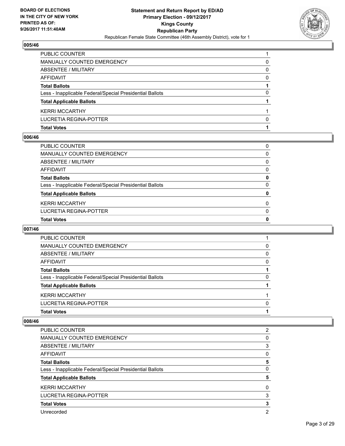

| <b>Total Votes</b>                                       |   |
|----------------------------------------------------------|---|
| LUCRETIA REGINA-POTTER                                   | 0 |
| <b>KERRI MCCARTHY</b>                                    |   |
| <b>Total Applicable Ballots</b>                          |   |
| Less - Inapplicable Federal/Special Presidential Ballots | 0 |
| <b>Total Ballots</b>                                     |   |
| AFFIDAVIT                                                | 0 |
| ABSENTEE / MILITARY                                      | 0 |
| MANUALLY COUNTED EMERGENCY                               | 0 |
| <b>PUBLIC COUNTER</b>                                    |   |

## **006/46**

| PUBLIC COUNTER                                           | 0            |
|----------------------------------------------------------|--------------|
| <b>MANUALLY COUNTED EMERGENCY</b>                        | 0            |
| ABSENTEE / MILITARY                                      | 0            |
| <b>AFFIDAVIT</b>                                         | 0            |
| <b>Total Ballots</b>                                     | 0            |
| Less - Inapplicable Federal/Special Presidential Ballots | $\Omega$     |
| <b>Total Applicable Ballots</b>                          | $\mathbf{0}$ |
| <b>KERRI MCCARTHY</b>                                    | $\Omega$     |
| <b>LUCRETIA REGINA-POTTER</b>                            | $\Omega$     |
| <b>Total Votes</b>                                       | 0            |

# **007/46**

| PUBLIC COUNTER                                           |   |
|----------------------------------------------------------|---|
| MANUALLY COUNTED EMERGENCY                               | 0 |
| ABSENTEE / MILITARY                                      | 0 |
| AFFIDAVIT                                                | 0 |
| <b>Total Ballots</b>                                     |   |
| Less - Inapplicable Federal/Special Presidential Ballots | 0 |
| <b>Total Applicable Ballots</b>                          |   |
| <b>KERRI MCCARTHY</b>                                    |   |
| LUCRETIA REGINA-POTTER                                   | 0 |
| <b>Total Votes</b>                                       |   |
|                                                          |   |

| <b>PUBLIC COUNTER</b>                                    | 2 |
|----------------------------------------------------------|---|
| <b>MANUALLY COUNTED EMERGENCY</b>                        | 0 |
| ABSENTEE / MILITARY                                      | 3 |
| AFFIDAVIT                                                | 0 |
| <b>Total Ballots</b>                                     | 5 |
| Less - Inapplicable Federal/Special Presidential Ballots | 0 |
| <b>Total Applicable Ballots</b>                          | 5 |
| <b>KERRI MCCARTHY</b>                                    | 0 |
| LUCRETIA REGINA-POTTER                                   | 3 |
| <b>Total Votes</b>                                       | з |
| Unrecorded                                               | 2 |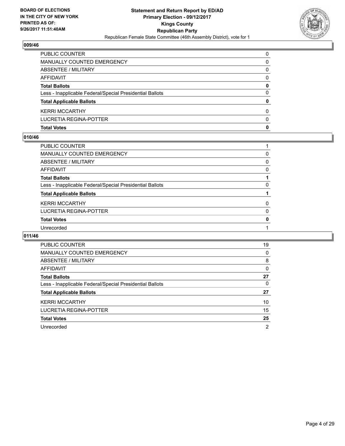

| <b>Total Votes</b>                                       | 0        |
|----------------------------------------------------------|----------|
| LUCRETIA REGINA-POTTER                                   | 0        |
| <b>KERRI MCCARTHY</b>                                    | 0        |
| <b>Total Applicable Ballots</b>                          | 0        |
| Less - Inapplicable Federal/Special Presidential Ballots | 0        |
| <b>Total Ballots</b>                                     | 0        |
| AFFIDAVIT                                                | 0        |
| ABSENTEE / MILITARY                                      | 0        |
| MANUALLY COUNTED EMERGENCY                               | 0        |
| <b>PUBLIC COUNTER</b>                                    | $\Omega$ |

## **010/46**

| PUBLIC COUNTER                                           |   |
|----------------------------------------------------------|---|
| MANUALLY COUNTED EMERGENCY                               | 0 |
| <b>ABSENTEE / MILITARY</b>                               | 0 |
| <b>AFFIDAVIT</b>                                         | 0 |
| <b>Total Ballots</b>                                     |   |
| Less - Inapplicable Federal/Special Presidential Ballots | 0 |
| <b>Total Applicable Ballots</b>                          |   |
| <b>KERRI MCCARTHY</b>                                    | 0 |
| LUCRETIA REGINA-POTTER                                   | 0 |
| <b>Total Votes</b>                                       | 0 |
| Unrecorded                                               |   |
|                                                          |   |

| <b>PUBLIC COUNTER</b>                                    | 19 |
|----------------------------------------------------------|----|
| MANUALLY COUNTED EMERGENCY                               | 0  |
| ABSENTEE / MILITARY                                      | 8  |
| AFFIDAVIT                                                | 0  |
| <b>Total Ballots</b>                                     | 27 |
| Less - Inapplicable Federal/Special Presidential Ballots | 0  |
| <b>Total Applicable Ballots</b>                          | 27 |
| <b>KERRI MCCARTHY</b>                                    | 10 |
| <b>LUCRETIA REGINA-POTTER</b>                            | 15 |
| <b>Total Votes</b>                                       | 25 |
| Unrecorded                                               | 2  |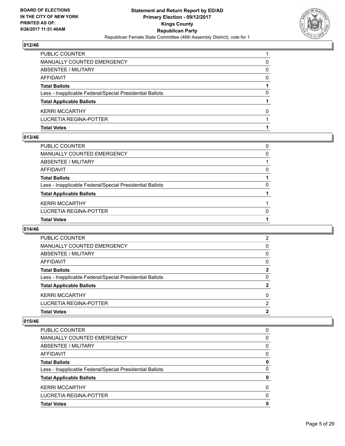

| <b>Total Votes</b>                                       |   |
|----------------------------------------------------------|---|
| LUCRETIA REGINA-POTTER                                   |   |
| <b>KERRI MCCARTHY</b>                                    | O |
| <b>Total Applicable Ballots</b>                          |   |
| Less - Inapplicable Federal/Special Presidential Ballots | 0 |
| <b>Total Ballots</b>                                     |   |
| AFFIDAVIT                                                | 0 |
| ABSENTEE / MILITARY                                      | 0 |
| MANUALLY COUNTED EMERGENCY                               | 0 |
| PUBLIC COUNTER                                           |   |

## **013/46**

| <b>Total Votes</b>                                       |          |
|----------------------------------------------------------|----------|
| LUCRETIA REGINA-POTTER                                   | $\Omega$ |
| KERRI MCCARTHY                                           |          |
| <b>Total Applicable Ballots</b>                          |          |
| Less - Inapplicable Federal/Special Presidential Ballots | $\Omega$ |
| Total Ballots                                            |          |
| AFFIDAVIT                                                | $\Omega$ |
| ABSENTEE / MILITARY                                      |          |
| MANUALLY COUNTED EMERGENCY                               | 0        |
| PUBLIC COUNTER                                           | 0        |
|                                                          |          |

# **014/46**

| <b>PUBLIC COUNTER</b>                                    | 2 |
|----------------------------------------------------------|---|
| MANUALLY COUNTED EMERGENCY                               | 0 |
| ABSENTEE / MILITARY                                      | 0 |
| AFFIDAVIT                                                | 0 |
| <b>Total Ballots</b>                                     | 2 |
| Less - Inapplicable Federal/Special Presidential Ballots | 0 |
| <b>Total Applicable Ballots</b>                          | 2 |
| <b>KERRI MCCARTHY</b>                                    | 0 |
| LUCRETIA REGINA-POTTER                                   | 2 |
| <b>Total Votes</b>                                       | 2 |
|                                                          |   |

| <b>Total Votes</b>                                       | 0 |
|----------------------------------------------------------|---|
| LUCRETIA REGINA-POTTER                                   | 0 |
| <b>KERRI MCCARTHY</b>                                    | 0 |
| <b>Total Applicable Ballots</b>                          | 0 |
| Less - Inapplicable Federal/Special Presidential Ballots | 0 |
| <b>Total Ballots</b>                                     | 0 |
| AFFIDAVIT                                                | 0 |
| ABSENTEE / MILITARY                                      | 0 |
| MANUALLY COUNTED EMERGENCY                               | 0 |
| <b>PUBLIC COUNTER</b>                                    | 0 |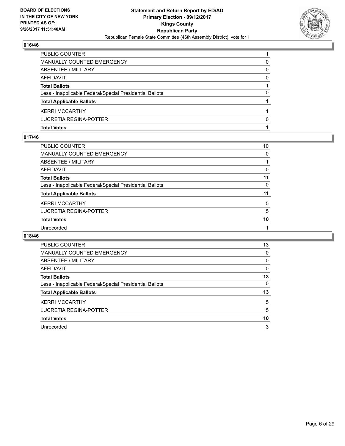

| <b>Total Votes</b>                                       |   |
|----------------------------------------------------------|---|
| LUCRETIA REGINA-POTTER                                   | 0 |
| <b>KERRI MCCARTHY</b>                                    |   |
| <b>Total Applicable Ballots</b>                          |   |
| Less - Inapplicable Federal/Special Presidential Ballots | 0 |
| <b>Total Ballots</b>                                     |   |
| AFFIDAVIT                                                | 0 |
| ABSENTEE / MILITARY                                      | 0 |
| MANUALLY COUNTED EMERGENCY                               | 0 |
| <b>PUBLIC COUNTER</b>                                    |   |

## **017/46**

| <b>PUBLIC COUNTER</b>                                    | 10 |
|----------------------------------------------------------|----|
| <b>MANUALLY COUNTED EMERGENCY</b>                        | 0  |
| ABSENTEE / MILITARY                                      |    |
| AFFIDAVIT                                                | 0  |
| <b>Total Ballots</b>                                     | 11 |
| Less - Inapplicable Federal/Special Presidential Ballots | 0  |
| <b>Total Applicable Ballots</b>                          | 11 |
| <b>KERRI MCCARTHY</b>                                    | 5  |
| LUCRETIA REGINA-POTTER                                   | 5  |
| <b>Total Votes</b>                                       | 10 |
| Unrecorded                                               |    |

| <b>PUBLIC COUNTER</b>                                    | 13 |
|----------------------------------------------------------|----|
| <b>MANUALLY COUNTED EMERGENCY</b>                        | 0  |
| ABSENTEE / MILITARY                                      | 0  |
| AFFIDAVIT                                                | 0  |
| <b>Total Ballots</b>                                     | 13 |
| Less - Inapplicable Federal/Special Presidential Ballots | 0  |
| <b>Total Applicable Ballots</b>                          | 13 |
| <b>KERRI MCCARTHY</b>                                    | 5  |
| LUCRETIA REGINA-POTTER                                   | 5  |
| <b>Total Votes</b>                                       | 10 |
| Unrecorded                                               | 3  |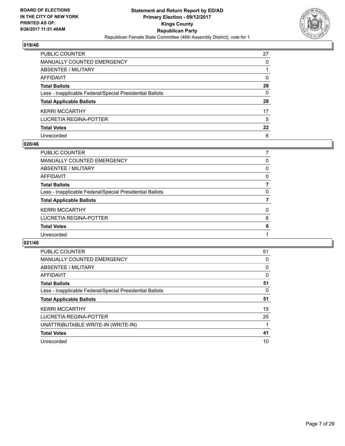

| PUBLIC COUNTER                                           | 27 |
|----------------------------------------------------------|----|
| <b>MANUALLY COUNTED EMERGENCY</b>                        | 0  |
| <b>ABSENTEE / MILITARY</b>                               |    |
| <b>AFFIDAVIT</b>                                         | 0  |
| <b>Total Ballots</b>                                     | 28 |
| Less - Inapplicable Federal/Special Presidential Ballots | 0  |
| <b>Total Applicable Ballots</b>                          | 28 |
| <b>KERRI MCCARTHY</b>                                    | 17 |
| <b>LUCRETIA REGINA-POTTER</b>                            | 5  |
| <b>Total Votes</b>                                       | 22 |
| Unrecorded                                               | 6  |

## **020/46**

| <b>PUBLIC COUNTER</b>                                    |   |
|----------------------------------------------------------|---|
| <b>MANUALLY COUNTED EMERGENCY</b>                        | 0 |
| ABSENTEE / MILITARY                                      | 0 |
| AFFIDAVIT                                                | 0 |
| <b>Total Ballots</b>                                     |   |
| Less - Inapplicable Federal/Special Presidential Ballots | 0 |
| <b>Total Applicable Ballots</b>                          |   |
| <b>KERRI MCCARTHY</b>                                    | 0 |
| LUCRETIA REGINA-POTTER                                   | 6 |
| <b>Total Votes</b>                                       | 6 |
| Unrecorded                                               |   |
|                                                          |   |

| <b>PUBLIC COUNTER</b>                                    | 51 |
|----------------------------------------------------------|----|
| <b>MANUALLY COUNTED EMERGENCY</b>                        | 0  |
| ABSENTEE / MILITARY                                      | 0  |
| <b>AFFIDAVIT</b>                                         | 0  |
| <b>Total Ballots</b>                                     | 51 |
| Less - Inapplicable Federal/Special Presidential Ballots | 0  |
| <b>Total Applicable Ballots</b>                          | 51 |
| <b>KERRI MCCARTHY</b>                                    | 15 |
| LUCRETIA REGINA-POTTER                                   | 25 |
| UNATTRIBUTABLE WRITE-IN (WRITE-IN)                       |    |
| <b>Total Votes</b>                                       | 41 |
| Unrecorded                                               | 10 |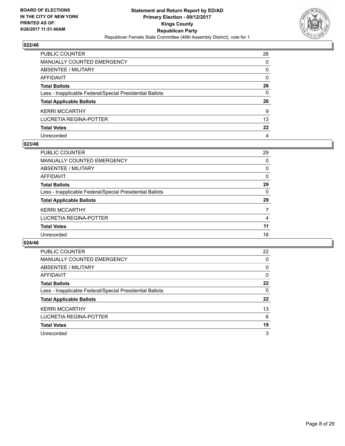

| PUBLIC COUNTER                                           | 26           |
|----------------------------------------------------------|--------------|
| <b>MANUALLY COUNTED EMERGENCY</b>                        | 0            |
| <b>ABSENTEE / MILITARY</b>                               | 0            |
| AFFIDAVIT                                                | $\mathbf{0}$ |
| <b>Total Ballots</b>                                     | 26           |
| Less - Inapplicable Federal/Special Presidential Ballots | $\mathbf{0}$ |
| <b>Total Applicable Ballots</b>                          | 26           |
| <b>KERRI MCCARTHY</b>                                    | 9            |
| LUCRETIA REGINA-POTTER                                   | 13           |
| <b>Total Votes</b>                                       | $22 \,$      |
| Unrecorded                                               | 4            |

## **023/46**

| <b>PUBLIC COUNTER</b>                                    | 29 |
|----------------------------------------------------------|----|
| <b>MANUALLY COUNTED EMERGENCY</b>                        | 0  |
| ABSENTEE / MILITARY                                      | 0  |
| AFFIDAVIT                                                | 0  |
| <b>Total Ballots</b>                                     | 29 |
| Less - Inapplicable Federal/Special Presidential Ballots | 0  |
| <b>Total Applicable Ballots</b>                          | 29 |
| <b>KERRI MCCARTHY</b>                                    | 7  |
| <b>LUCRETIA REGINA-POTTER</b>                            | 4  |
| <b>Total Votes</b>                                       | 11 |
| Unrecorded                                               | 18 |
|                                                          |    |

| <b>PUBLIC COUNTER</b>                                    | 22 |
|----------------------------------------------------------|----|
| MANUALLY COUNTED EMERGENCY                               | 0  |
| ABSENTEE / MILITARY                                      | 0  |
| AFFIDAVIT                                                | 0  |
| <b>Total Ballots</b>                                     | 22 |
| Less - Inapplicable Federal/Special Presidential Ballots | 0  |
| <b>Total Applicable Ballots</b>                          | 22 |
| <b>KERRI MCCARTHY</b>                                    | 13 |
| LUCRETIA REGINA-POTTER                                   | 6  |
| <b>Total Votes</b>                                       | 19 |
| Unrecorded                                               | 3  |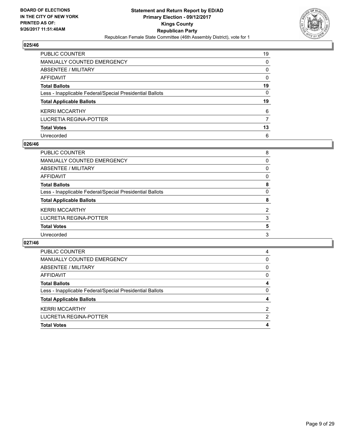

| PUBLIC COUNTER                                           | 19 |
|----------------------------------------------------------|----|
| <b>MANUALLY COUNTED EMERGENCY</b>                        | 0  |
| <b>ABSENTEE / MILITARY</b>                               | 0  |
| AFFIDAVIT                                                | 0  |
| <b>Total Ballots</b>                                     | 19 |
| Less - Inapplicable Federal/Special Presidential Ballots | 0  |
| <b>Total Applicable Ballots</b>                          | 19 |
| <b>KERRI MCCARTHY</b>                                    | 6  |
| <b>LUCRETIA REGINA-POTTER</b>                            | 7  |
| <b>Total Votes</b>                                       | 13 |
| Unrecorded                                               | 6  |

## **026/46**

| PUBLIC COUNTER                                           | 8 |
|----------------------------------------------------------|---|
| MANUALLY COUNTED EMERGENCY                               | 0 |
| ABSENTEE / MILITARY                                      | 0 |
| AFFIDAVIT                                                | 0 |
| <b>Total Ballots</b>                                     | 8 |
| Less - Inapplicable Federal/Special Presidential Ballots | 0 |
| <b>Total Applicable Ballots</b>                          | 8 |
| <b>KERRI MCCARTHY</b>                                    | 2 |
| LUCRETIA REGINA-POTTER                                   | 3 |
| <b>Total Votes</b>                                       | 5 |
| Unrecorded                                               | 3 |

| <b>Total Votes</b>                                       |   |
|----------------------------------------------------------|---|
| LUCRETIA REGINA-POTTER                                   | 2 |
| <b>KERRI MCCARTHY</b>                                    | 2 |
| <b>Total Applicable Ballots</b>                          |   |
| Less - Inapplicable Federal/Special Presidential Ballots | 0 |
| <b>Total Ballots</b>                                     |   |
| AFFIDAVIT                                                | 0 |
| ABSENTEE / MILITARY                                      | 0 |
| <b>MANUALLY COUNTED EMERGENCY</b>                        | 0 |
| <b>PUBLIC COUNTER</b>                                    | 4 |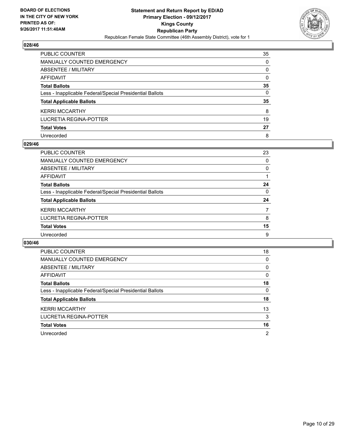

| PUBLIC COUNTER                                           | 35 |
|----------------------------------------------------------|----|
| <b>MANUALLY COUNTED EMERGENCY</b>                        | 0  |
| <b>ABSENTEE / MILITARY</b>                               | 0  |
| <b>AFFIDAVIT</b>                                         | 0  |
| <b>Total Ballots</b>                                     | 35 |
| Less - Inapplicable Federal/Special Presidential Ballots | 0  |
| <b>Total Applicable Ballots</b>                          | 35 |
| <b>KERRI MCCARTHY</b>                                    | 8  |
| <b>LUCRETIA REGINA-POTTER</b>                            | 19 |
| <b>Total Votes</b>                                       | 27 |
| Unrecorded                                               | 8  |

## **029/46**

| <b>PUBLIC COUNTER</b>                                    | 23 |
|----------------------------------------------------------|----|
| MANUALLY COUNTED EMERGENCY                               | 0  |
| ABSENTEE / MILITARY                                      | 0  |
| AFFIDAVIT                                                |    |
| <b>Total Ballots</b>                                     | 24 |
| Less - Inapplicable Federal/Special Presidential Ballots | 0  |
| <b>Total Applicable Ballots</b>                          | 24 |
| <b>KERRI MCCARTHY</b>                                    |    |
| LUCRETIA REGINA-POTTER                                   | 8  |
| <b>Total Votes</b>                                       | 15 |
| Unrecorded                                               | 9  |

| <b>PUBLIC COUNTER</b>                                    | 18             |
|----------------------------------------------------------|----------------|
| <b>MANUALLY COUNTED EMERGENCY</b>                        | 0              |
| ABSENTEE / MILITARY                                      | 0              |
| <b>AFFIDAVIT</b>                                         | 0              |
| <b>Total Ballots</b>                                     | 18             |
| Less - Inapplicable Federal/Special Presidential Ballots | 0              |
| <b>Total Applicable Ballots</b>                          | 18             |
| <b>KERRI MCCARTHY</b>                                    | 13             |
| LUCRETIA REGINA-POTTER                                   | 3              |
| <b>Total Votes</b>                                       | 16             |
| Unrecorded                                               | $\overline{2}$ |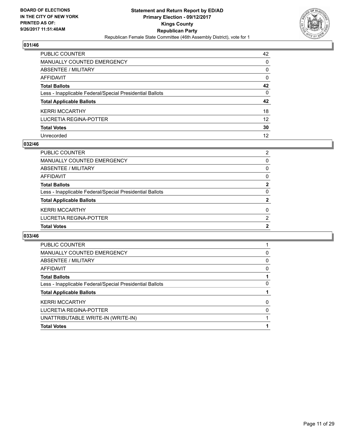

| PUBLIC COUNTER                                           | 42              |
|----------------------------------------------------------|-----------------|
| <b>MANUALLY COUNTED EMERGENCY</b>                        | $\mathbf{0}$    |
| <b>ABSENTEE / MILITARY</b>                               | $\mathbf{0}$    |
| AFFIDAVIT                                                | $\mathbf{0}$    |
| <b>Total Ballots</b>                                     | 42              |
| Less - Inapplicable Federal/Special Presidential Ballots | $\mathbf{0}$    |
| <b>Total Applicable Ballots</b>                          | 42              |
| <b>KERRI MCCARTHY</b>                                    | 18              |
| LUCRETIA REGINA-POTTER                                   | 12 <sup>2</sup> |
| <b>Total Votes</b>                                       | 30              |
| Unrecorded                                               | 12              |

## **032/46**

| <b>Total Votes</b>                                       | 2 |
|----------------------------------------------------------|---|
| LUCRETIA REGINA-POTTER                                   | 2 |
| <b>KERRI MCCARTHY</b>                                    | 0 |
| <b>Total Applicable Ballots</b>                          | 2 |
| Less - Inapplicable Federal/Special Presidential Ballots | 0 |
| <b>Total Ballots</b>                                     | 2 |
| AFFIDAVIT                                                | 0 |
| ABSENTEE / MILITARY                                      | 0 |
| MANUALLY COUNTED EMERGENCY                               | 0 |
| PUBLIC COUNTER                                           | 2 |

| <b>PUBLIC COUNTER</b>                                    |   |
|----------------------------------------------------------|---|
| MANUALLY COUNTED EMERGENCY                               | 0 |
| ABSENTEE / MILITARY                                      | 0 |
| AFFIDAVIT                                                | 0 |
| <b>Total Ballots</b>                                     |   |
| Less - Inapplicable Federal/Special Presidential Ballots | 0 |
| <b>Total Applicable Ballots</b>                          |   |
| <b>KERRI MCCARTHY</b>                                    | 0 |
| LUCRETIA REGINA-POTTER                                   | 0 |
| UNATTRIBUTABLE WRITE-IN (WRITE-IN)                       |   |
| <b>Total Votes</b>                                       |   |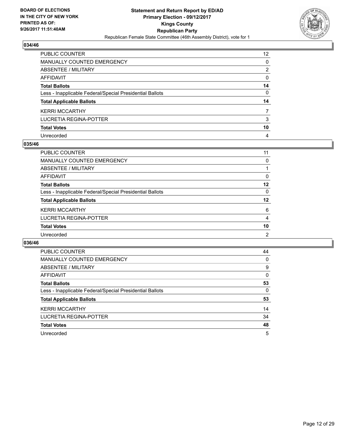

| PUBLIC COUNTER                                           | 12 |
|----------------------------------------------------------|----|
| <b>MANUALLY COUNTED EMERGENCY</b>                        | 0  |
| <b>ABSENTEE / MILITARY</b>                               | 2  |
| <b>AFFIDAVIT</b>                                         | 0  |
| <b>Total Ballots</b>                                     | 14 |
| Less - Inapplicable Federal/Special Presidential Ballots | 0  |
| <b>Total Applicable Ballots</b>                          | 14 |
| <b>KERRI MCCARTHY</b>                                    | 7  |
| <b>LUCRETIA REGINA-POTTER</b>                            | 3  |
| <b>Total Votes</b>                                       | 10 |
| Unrecorded                                               | 4  |

## **035/46**

| <b>PUBLIC COUNTER</b>                                    | 11 |
|----------------------------------------------------------|----|
| <b>MANUALLY COUNTED EMERGENCY</b>                        | 0  |
| ABSENTEE / MILITARY                                      |    |
| AFFIDAVIT                                                | 0  |
| <b>Total Ballots</b>                                     | 12 |
| Less - Inapplicable Federal/Special Presidential Ballots | 0  |
| <b>Total Applicable Ballots</b>                          | 12 |
| <b>KERRI MCCARTHY</b>                                    | 6  |
| LUCRETIA REGINA-POTTER                                   | 4  |
| <b>Total Votes</b>                                       | 10 |
| Unrecorded                                               | 2  |

| <b>PUBLIC COUNTER</b>                                    | 44 |
|----------------------------------------------------------|----|
| <b>MANUALLY COUNTED EMERGENCY</b>                        | 0  |
| ABSENTEE / MILITARY                                      | 9  |
| <b>AFFIDAVIT</b>                                         | 0  |
| <b>Total Ballots</b>                                     | 53 |
| Less - Inapplicable Federal/Special Presidential Ballots | 0  |
| <b>Total Applicable Ballots</b>                          | 53 |
| <b>KERRI MCCARTHY</b>                                    | 14 |
| LUCRETIA REGINA-POTTER                                   | 34 |
| <b>Total Votes</b>                                       | 48 |
| Unrecorded                                               | 5  |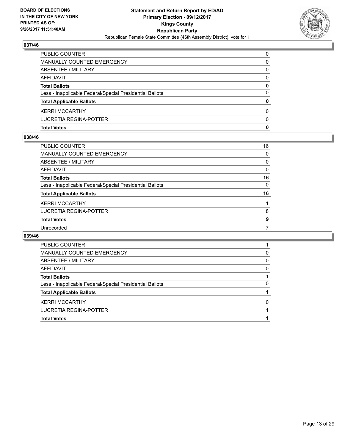

| <b>Total Votes</b>                                       | 0 |
|----------------------------------------------------------|---|
| LUCRETIA REGINA-POTTER                                   | 0 |
| <b>KERRI MCCARTHY</b>                                    | 0 |
| <b>Total Applicable Ballots</b>                          | 0 |
| Less - Inapplicable Federal/Special Presidential Ballots | 0 |
| <b>Total Ballots</b>                                     | 0 |
| AFFIDAVIT                                                | 0 |
| ABSENTEE / MILITARY                                      | 0 |
| MANUALLY COUNTED EMERGENCY                               | 0 |
| <b>PUBLIC COUNTER</b>                                    | 0 |

## **038/46**

| <b>PUBLIC COUNTER</b>                                    | 16 |
|----------------------------------------------------------|----|
| <b>MANUALLY COUNTED EMERGENCY</b>                        | 0  |
| ABSENTEE / MILITARY                                      | 0  |
| <b>AFFIDAVIT</b>                                         | 0  |
| <b>Total Ballots</b>                                     | 16 |
| Less - Inapplicable Federal/Special Presidential Ballots | 0  |
| <b>Total Applicable Ballots</b>                          | 16 |
| <b>KERRI MCCARTHY</b>                                    |    |
| <b>LUCRETIA REGINA-POTTER</b>                            | 8  |
| <b>Total Votes</b>                                       | 9  |
| Unrecorded                                               |    |

| <b>PUBLIC COUNTER</b>                                    |   |
|----------------------------------------------------------|---|
| MANUALLY COUNTED EMERGENCY                               | 0 |
| ABSENTEE / MILITARY                                      | 0 |
| AFFIDAVIT                                                | 0 |
| <b>Total Ballots</b>                                     |   |
| Less - Inapplicable Federal/Special Presidential Ballots | 0 |
| <b>Total Applicable Ballots</b>                          |   |
| <b>KERRI MCCARTHY</b>                                    | 0 |
| LUCRETIA REGINA-POTTER                                   |   |
| <b>Total Votes</b>                                       |   |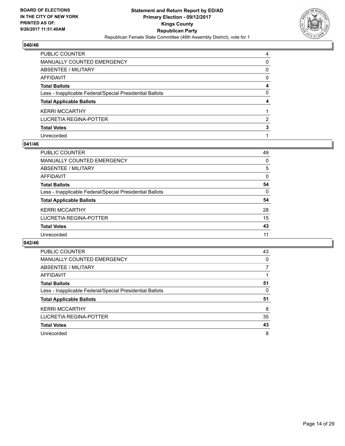

| PUBLIC COUNTER                                           | 4            |
|----------------------------------------------------------|--------------|
| <b>MANUALLY COUNTED EMERGENCY</b>                        | 0            |
| <b>ABSENTEE / MILITARY</b>                               | $\mathbf{0}$ |
| AFFIDAVIT                                                | 0            |
| <b>Total Ballots</b>                                     | 4            |
| Less - Inapplicable Federal/Special Presidential Ballots | 0            |
| <b>Total Applicable Ballots</b>                          | 4            |
| <b>KERRI MCCARTHY</b>                                    |              |
| LUCRETIA REGINA-POTTER                                   | 2            |
| <b>Total Votes</b>                                       | 3            |
| Unrecorded                                               |              |

## **041/46**

| <b>PUBLIC COUNTER</b>                                    | 49 |
|----------------------------------------------------------|----|
| MANUALLY COUNTED EMERGENCY                               | 0  |
| ABSENTEE / MILITARY                                      | 5  |
| AFFIDAVIT                                                | 0  |
| <b>Total Ballots</b>                                     | 54 |
| Less - Inapplicable Federal/Special Presidential Ballots | 0  |
| <b>Total Applicable Ballots</b>                          | 54 |
| <b>KERRI MCCARTHY</b>                                    | 28 |
| LUCRETIA REGINA-POTTER                                   | 15 |
| <b>Total Votes</b>                                       | 43 |
| Unrecorded                                               | 11 |
|                                                          |    |

| <b>PUBLIC COUNTER</b>                                    | 43 |
|----------------------------------------------------------|----|
| <b>MANUALLY COUNTED EMERGENCY</b>                        | 0  |
| ABSENTEE / MILITARY                                      |    |
| <b>AFFIDAVIT</b>                                         |    |
| <b>Total Ballots</b>                                     | 51 |
| Less - Inapplicable Federal/Special Presidential Ballots | 0  |
| <b>Total Applicable Ballots</b>                          | 51 |
| <b>KERRI MCCARTHY</b>                                    | 8  |
| LUCRETIA REGINA-POTTER                                   | 35 |
|                                                          |    |
| <b>Total Votes</b>                                       | 43 |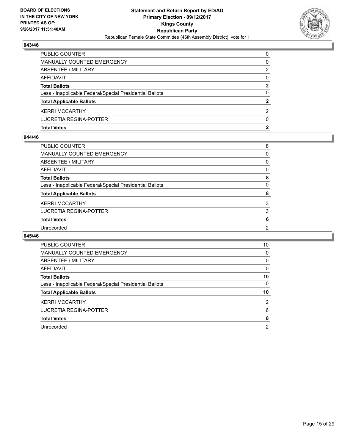

| <b>Total Votes</b>                                       | 2            |
|----------------------------------------------------------|--------------|
| LUCRETIA REGINA-POTTER                                   | 0            |
| <b>KERRI MCCARTHY</b>                                    | 2            |
| <b>Total Applicable Ballots</b>                          | $\mathbf{2}$ |
| Less - Inapplicable Federal/Special Presidential Ballots | 0            |
| <b>Total Ballots</b>                                     | 2            |
| AFFIDAVIT                                                | 0            |
| ABSENTEE / MILITARY                                      | 2            |
| MANUALLY COUNTED EMERGENCY                               | 0            |
| <b>PUBLIC COUNTER</b>                                    | 0            |

## **044/46**

| PUBLIC COUNTER                                           | 8 |
|----------------------------------------------------------|---|
| <b>MANUALLY COUNTED EMERGENCY</b>                        | 0 |
| <b>ABSENTEE / MILITARY</b>                               | 0 |
| <b>AFFIDAVIT</b>                                         | 0 |
| <b>Total Ballots</b>                                     | 8 |
| Less - Inapplicable Federal/Special Presidential Ballots | 0 |
| <b>Total Applicable Ballots</b>                          | 8 |
| <b>KERRI MCCARTHY</b>                                    | 3 |
| <b>LUCRETIA REGINA-POTTER</b>                            | 3 |
| <b>Total Votes</b>                                       | 6 |
| Unrecorded                                               | 2 |
|                                                          |   |

| <b>PUBLIC COUNTER</b>                                    | 10 |
|----------------------------------------------------------|----|
| <b>MANUALLY COUNTED EMERGENCY</b>                        | 0  |
| ABSENTEE / MILITARY                                      | 0  |
| AFFIDAVIT                                                | 0  |
| <b>Total Ballots</b>                                     | 10 |
| Less - Inapplicable Federal/Special Presidential Ballots | 0  |
| <b>Total Applicable Ballots</b>                          | 10 |
| <b>KERRI MCCARTHY</b>                                    | 2  |
| LUCRETIA REGINA-POTTER                                   | 6  |
| <b>Total Votes</b>                                       | 8  |
| Unrecorded                                               | 2  |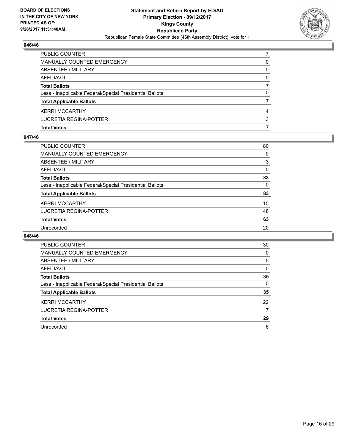

| <b>Total Votes</b>                                       |          |
|----------------------------------------------------------|----------|
| LUCRETIA REGINA-POTTER                                   | 3        |
| <b>KERRI MCCARTHY</b>                                    |          |
| <b>Total Applicable Ballots</b>                          |          |
| Less - Inapplicable Federal/Special Presidential Ballots | 0        |
| <b>Total Ballots</b>                                     |          |
| AFFIDAVIT                                                | $\Omega$ |
| <b>ABSENTEE / MILITARY</b>                               | 0        |
| MANUALLY COUNTED EMERGENCY                               | 0        |
| <b>PUBLIC COUNTER</b>                                    |          |

# **047/46**

| <b>PUBLIC COUNTER</b>                                    | 80       |
|----------------------------------------------------------|----------|
| <b>MANUALLY COUNTED EMERGENCY</b>                        | 0        |
| ABSENTEE / MILITARY                                      | 3        |
| AFFIDAVIT                                                | $\Omega$ |
| <b>Total Ballots</b>                                     | 83       |
| Less - Inapplicable Federal/Special Presidential Ballots | 0        |
| <b>Total Applicable Ballots</b>                          | 83       |
| <b>KERRI MCCARTHY</b>                                    | 15       |
| LUCRETIA REGINA-POTTER                                   | 48       |
| <b>Total Votes</b>                                       | 63       |
| Unrecorded                                               | 20       |
|                                                          |          |

| <b>PUBLIC COUNTER</b>                                    | 30 |
|----------------------------------------------------------|----|
| <b>MANUALLY COUNTED EMERGENCY</b>                        | 0  |
| ABSENTEE / MILITARY                                      | 5  |
| AFFIDAVIT                                                | 0  |
| <b>Total Ballots</b>                                     | 35 |
| Less - Inapplicable Federal/Special Presidential Ballots | 0  |
| <b>Total Applicable Ballots</b>                          | 35 |
| <b>KERRI MCCARTHY</b>                                    | 22 |
| LUCRETIA REGINA-POTTER                                   | 7  |
| <b>Total Votes</b>                                       | 29 |
| Unrecorded                                               | 6  |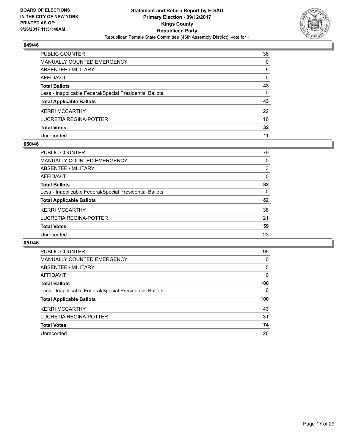

| PUBLIC COUNTER                                           | 38           |
|----------------------------------------------------------|--------------|
| <b>MANUALLY COUNTED EMERGENCY</b>                        | 0            |
| <b>ABSENTEE / MILITARY</b>                               | 5            |
| <b>AFFIDAVIT</b>                                         | $\Omega$     |
| <b>Total Ballots</b>                                     | 43           |
| Less - Inapplicable Federal/Special Presidential Ballots | $\mathbf{0}$ |
| <b>Total Applicable Ballots</b>                          | 43           |
| <b>KERRI MCCARTHY</b>                                    | 22           |
| <b>LUCRETIA REGINA-POTTER</b>                            | 10           |
| <b>Total Votes</b>                                       | 32           |
| Unrecorded                                               | 11           |

## **050/46**

| <b>PUBLIC COUNTER</b>                                    | 79 |
|----------------------------------------------------------|----|
| <b>MANUALLY COUNTED EMERGENCY</b>                        | 0  |
| ABSENTEE / MILITARY                                      | 3  |
| AFFIDAVIT                                                | 0  |
| <b>Total Ballots</b>                                     | 82 |
| Less - Inapplicable Federal/Special Presidential Ballots | 0  |
| <b>Total Applicable Ballots</b>                          | 82 |
| <b>KERRI MCCARTHY</b>                                    | 38 |
| LUCRETIA REGINA-POTTER                                   | 21 |
| <b>Total Votes</b>                                       | 59 |
| Unrecorded                                               | 23 |
|                                                          |    |

| <b>PUBLIC COUNTER</b>                                    | 95  |
|----------------------------------------------------------|-----|
| <b>MANUALLY COUNTED EMERGENCY</b>                        | 0   |
| ABSENTEE / MILITARY                                      | 5   |
| AFFIDAVIT                                                | 0   |
| <b>Total Ballots</b>                                     | 100 |
| Less - Inapplicable Federal/Special Presidential Ballots | 0   |
| <b>Total Applicable Ballots</b>                          | 100 |
| <b>KERRI MCCARTHY</b>                                    | 43  |
| LUCRETIA REGINA-POTTER                                   | 31  |
| <b>Total Votes</b>                                       | 74  |
| Unrecorded                                               | 26  |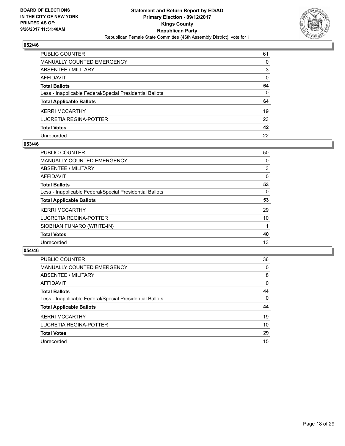

| <b>PUBLIC COUNTER</b>                                    | 61       |
|----------------------------------------------------------|----------|
| <b>MANUALLY COUNTED EMERGENCY</b>                        | 0        |
| <b>ABSENTEE / MILITARY</b>                               | 3        |
| <b>AFFIDAVIT</b>                                         | $\Omega$ |
| <b>Total Ballots</b>                                     | 64       |
| Less - Inapplicable Federal/Special Presidential Ballots | 0        |
| <b>Total Applicable Ballots</b>                          | 64       |
| <b>KERRI MCCARTHY</b>                                    | 19       |
| <b>LUCRETIA REGINA-POTTER</b>                            | 23       |
| <b>Total Votes</b>                                       | 42       |
| Unrecorded                                               | 22       |

## **053/46**

| PUBLIC COUNTER                                           | 50 |
|----------------------------------------------------------|----|
| <b>MANUALLY COUNTED EMERGENCY</b>                        | 0  |
| ABSENTEE / MILITARY                                      | 3  |
| AFFIDAVIT                                                | 0  |
| <b>Total Ballots</b>                                     | 53 |
| Less - Inapplicable Federal/Special Presidential Ballots | 0  |
| <b>Total Applicable Ballots</b>                          | 53 |
| <b>KERRI MCCARTHY</b>                                    | 29 |
| LUCRETIA REGINA-POTTER                                   | 10 |
| SIOBHAN FUNARO (WRITE-IN)                                |    |
| <b>Total Votes</b>                                       | 40 |
| Unrecorded                                               | 13 |
|                                                          |    |

| <b>PUBLIC COUNTER</b>                                    | 36       |
|----------------------------------------------------------|----------|
| <b>MANUALLY COUNTED EMERGENCY</b>                        | 0        |
| ABSENTEE / MILITARY                                      | 8        |
| AFFIDAVIT                                                | 0        |
| <b>Total Ballots</b>                                     | 44       |
| Less - Inapplicable Federal/Special Presidential Ballots | $\Omega$ |
| <b>Total Applicable Ballots</b>                          | 44       |
| <b>KERRI MCCARTHY</b>                                    | 19       |
| LUCRETIA REGINA-POTTER                                   | 10       |
| <b>Total Votes</b>                                       | 29       |
|                                                          |          |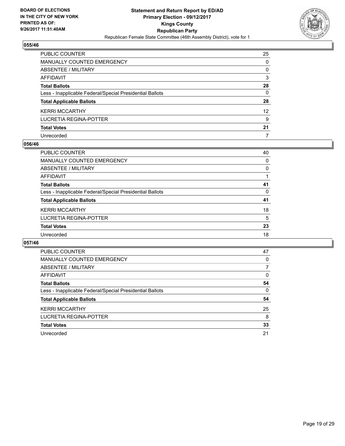

| PUBLIC COUNTER                                           | 25 |
|----------------------------------------------------------|----|
| <b>MANUALLY COUNTED EMERGENCY</b>                        | 0  |
| <b>ABSENTEE / MILITARY</b>                               | 0  |
| <b>AFFIDAVIT</b>                                         | 3  |
| <b>Total Ballots</b>                                     | 28 |
| Less - Inapplicable Federal/Special Presidential Ballots | 0  |
| <b>Total Applicable Ballots</b>                          | 28 |
| <b>KERRI MCCARTHY</b>                                    | 12 |
| <b>LUCRETIA REGINA-POTTER</b>                            | 9  |
| <b>Total Votes</b>                                       | 21 |
| Unrecorded                                               | 7  |

## **056/46**

| <b>PUBLIC COUNTER</b>                                    | 40 |
|----------------------------------------------------------|----|
| <b>MANUALLY COUNTED EMERGENCY</b>                        | 0  |
| ABSENTEE / MILITARY                                      | 0  |
| AFFIDAVIT                                                |    |
| <b>Total Ballots</b>                                     | 41 |
| Less - Inapplicable Federal/Special Presidential Ballots | 0  |
| <b>Total Applicable Ballots</b>                          | 41 |
| <b>KERRI MCCARTHY</b>                                    | 18 |
| <b>LUCRETIA REGINA-POTTER</b>                            | 5  |
| <b>Total Votes</b>                                       | 23 |
| Unrecorded                                               | 18 |
|                                                          |    |

| <b>PUBLIC COUNTER</b>                                    | 47 |
|----------------------------------------------------------|----|
| MANUALLY COUNTED EMERGENCY                               | 0  |
| ABSENTEE / MILITARY                                      | 7  |
| AFFIDAVIT                                                | 0  |
| <b>Total Ballots</b>                                     | 54 |
| Less - Inapplicable Federal/Special Presidential Ballots | 0  |
| <b>Total Applicable Ballots</b>                          | 54 |
| <b>KERRI MCCARTHY</b>                                    | 25 |
| LUCRETIA REGINA-POTTER                                   | 8  |
| <b>Total Votes</b>                                       | 33 |
| Unrecorded                                               | 21 |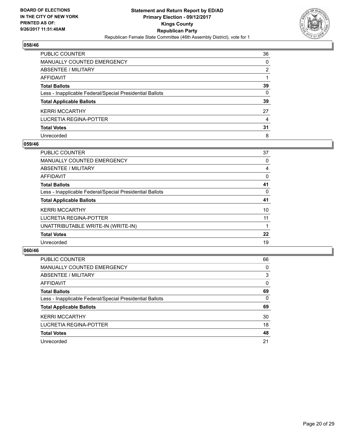

| PUBLIC COUNTER                                           | 36       |
|----------------------------------------------------------|----------|
| <b>MANUALLY COUNTED EMERGENCY</b>                        | 0        |
| <b>ABSENTEE / MILITARY</b>                               | 2        |
| <b>AFFIDAVIT</b>                                         |          |
| <b>Total Ballots</b>                                     | 39       |
| Less - Inapplicable Federal/Special Presidential Ballots | $\Omega$ |
| <b>Total Applicable Ballots</b>                          | 39       |
| <b>KERRI MCCARTHY</b>                                    | 27       |
| <b>LUCRETIA REGINA-POTTER</b>                            | 4        |
| <b>Total Votes</b>                                       | 31       |
| Unrecorded                                               | 8        |

## **059/46**

| <b>PUBLIC COUNTER</b>                                    | 37 |
|----------------------------------------------------------|----|
| <b>MANUALLY COUNTED EMERGENCY</b>                        | 0  |
| ABSENTEE / MILITARY                                      | 4  |
| AFFIDAVIT                                                | 0  |
| <b>Total Ballots</b>                                     | 41 |
| Less - Inapplicable Federal/Special Presidential Ballots | 0  |
| <b>Total Applicable Ballots</b>                          | 41 |
| <b>KERRI MCCARTHY</b>                                    | 10 |
| LUCRETIA REGINA-POTTER                                   | 11 |
| UNATTRIBUTABLE WRITE-IN (WRITE-IN)                       |    |
| <b>Total Votes</b>                                       | 22 |
| Unrecorded                                               | 19 |

| <b>PUBLIC COUNTER</b>                                    | 66 |
|----------------------------------------------------------|----|
| MANUALLY COUNTED EMERGENCY                               | 0  |
| ABSENTEE / MILITARY                                      | 3  |
| AFFIDAVIT                                                | 0  |
| <b>Total Ballots</b>                                     | 69 |
| Less - Inapplicable Federal/Special Presidential Ballots | 0  |
| <b>Total Applicable Ballots</b>                          | 69 |
| <b>KERRI MCCARTHY</b>                                    | 30 |
| LUCRETIA REGINA-POTTER                                   | 18 |
| <b>Total Votes</b>                                       | 48 |
| Unrecorded                                               | 21 |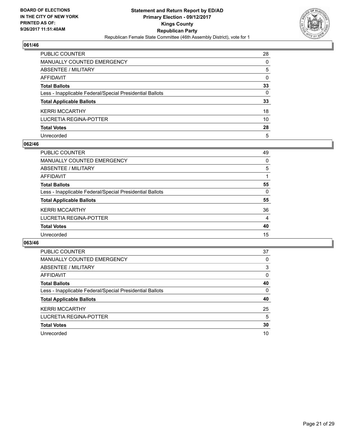

| PUBLIC COUNTER                                           | 28 |
|----------------------------------------------------------|----|
| <b>MANUALLY COUNTED EMERGENCY</b>                        | 0  |
| <b>ABSENTEE / MILITARY</b>                               | 5  |
| <b>AFFIDAVIT</b>                                         | 0  |
| <b>Total Ballots</b>                                     | 33 |
| Less - Inapplicable Federal/Special Presidential Ballots | 0  |
| <b>Total Applicable Ballots</b>                          | 33 |
| <b>KERRI MCCARTHY</b>                                    | 18 |
| <b>LUCRETIA REGINA-POTTER</b>                            | 10 |
| <b>Total Votes</b>                                       | 28 |
| Unrecorded                                               | 5  |

## **062/46**

| 49 |
|----|
| 0  |
| 5  |
|    |
| 55 |
| 0  |
| 55 |
| 36 |
| 4  |
| 40 |
| 15 |
|    |

| <b>PUBLIC COUNTER</b>                                    | 37 |
|----------------------------------------------------------|----|
| MANUALLY COUNTED EMERGENCY                               | 0  |
| ABSENTEE / MILITARY                                      | 3  |
| AFFIDAVIT                                                | 0  |
| <b>Total Ballots</b>                                     | 40 |
| Less - Inapplicable Federal/Special Presidential Ballots | 0  |
| <b>Total Applicable Ballots</b>                          | 40 |
| <b>KERRI MCCARTHY</b>                                    | 25 |
| LUCRETIA REGINA-POTTER                                   | 5  |
| <b>Total Votes</b>                                       | 30 |
| Unrecorded                                               | 10 |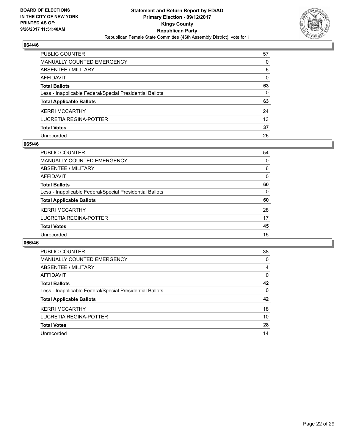

| <b>PUBLIC COUNTER</b>                                    | 57       |
|----------------------------------------------------------|----------|
| <b>MANUALLY COUNTED EMERGENCY</b>                        | 0        |
| <b>ABSENTEE / MILITARY</b>                               | 6        |
| <b>AFFIDAVIT</b>                                         | $\Omega$ |
| <b>Total Ballots</b>                                     | 63       |
| Less - Inapplicable Federal/Special Presidential Ballots | 0        |
| <b>Total Applicable Ballots</b>                          | 63       |
| <b>KERRI MCCARTHY</b>                                    | 24       |
| <b>LUCRETIA REGINA-POTTER</b>                            | 13       |
| <b>Total Votes</b>                                       | 37       |
| Unrecorded                                               | 26       |

## **065/46**

| <b>PUBLIC COUNTER</b>                                    | 54 |
|----------------------------------------------------------|----|
| <b>MANUALLY COUNTED EMERGENCY</b>                        | 0  |
| ABSENTEE / MILITARY                                      | 6  |
| AFFIDAVIT                                                | 0  |
| <b>Total Ballots</b>                                     | 60 |
| Less - Inapplicable Federal/Special Presidential Ballots | 0  |
| <b>Total Applicable Ballots</b>                          | 60 |
| <b>KERRI MCCARTHY</b>                                    | 28 |
| LUCRETIA REGINA-POTTER                                   | 17 |
| <b>Total Votes</b>                                       | 45 |
| Unrecorded                                               | 15 |
|                                                          |    |

| <b>PUBLIC COUNTER</b>                                    | 38 |
|----------------------------------------------------------|----|
| MANUALLY COUNTED EMERGENCY                               | 0  |
| ABSENTEE / MILITARY                                      | 4  |
| AFFIDAVIT                                                | 0  |
| <b>Total Ballots</b>                                     | 42 |
| Less - Inapplicable Federal/Special Presidential Ballots | 0  |
| <b>Total Applicable Ballots</b>                          | 42 |
| <b>KERRI MCCARTHY</b>                                    | 18 |
| LUCRETIA REGINA-POTTER                                   | 10 |
| <b>Total Votes</b>                                       | 28 |
| Unrecorded                                               | 14 |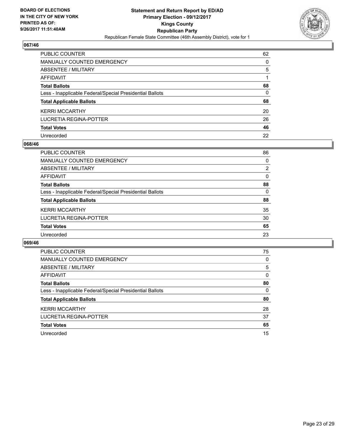

| PUBLIC COUNTER                                           | 62 |
|----------------------------------------------------------|----|
| <b>MANUALLY COUNTED EMERGENCY</b>                        | 0  |
| <b>ABSENTEE / MILITARY</b>                               | 5  |
| AFFIDAVIT                                                |    |
| <b>Total Ballots</b>                                     | 68 |
| Less - Inapplicable Federal/Special Presidential Ballots | 0  |
| <b>Total Applicable Ballots</b>                          | 68 |
| <b>KERRI MCCARTHY</b>                                    | 20 |
| <b>LUCRETIA REGINA-POTTER</b>                            | 26 |
| <b>Total Votes</b>                                       | 46 |
| Unrecorded                                               | 22 |

## **068/46**

| <b>PUBLIC COUNTER</b>                                    | 86 |
|----------------------------------------------------------|----|
| <b>MANUALLY COUNTED EMERGENCY</b>                        | 0  |
| ABSENTEE / MILITARY                                      | 2  |
| AFFIDAVIT                                                | 0  |
| <b>Total Ballots</b>                                     | 88 |
| Less - Inapplicable Federal/Special Presidential Ballots | 0  |
| <b>Total Applicable Ballots</b>                          | 88 |
| <b>KERRI MCCARTHY</b>                                    | 35 |
| LUCRETIA REGINA-POTTER                                   | 30 |
| <b>Total Votes</b>                                       | 65 |
| Unrecorded                                               | 23 |

| <b>PUBLIC COUNTER</b>                                    | 75 |
|----------------------------------------------------------|----|
| MANUALLY COUNTED EMERGENCY                               | 0  |
| ABSENTEE / MILITARY                                      | 5  |
| AFFIDAVIT                                                | 0  |
| <b>Total Ballots</b>                                     | 80 |
| Less - Inapplicable Federal/Special Presidential Ballots | 0  |
| <b>Total Applicable Ballots</b>                          | 80 |
| <b>KERRI MCCARTHY</b>                                    | 28 |
| LUCRETIA REGINA-POTTER                                   | 37 |
| <b>Total Votes</b>                                       | 65 |
| Unrecorded                                               | 15 |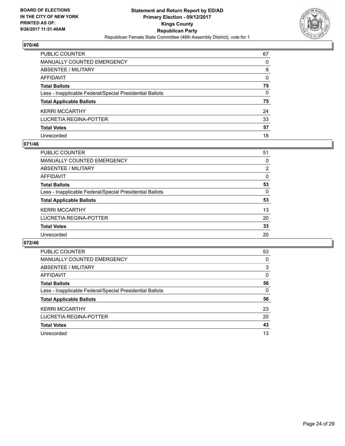

| <b>PUBLIC COUNTER</b>                                    | 67           |
|----------------------------------------------------------|--------------|
| <b>MANUALLY COUNTED EMERGENCY</b>                        | 0            |
| <b>ABSENTEE / MILITARY</b>                               | 8            |
| <b>AFFIDAVIT</b>                                         | $\Omega$     |
| <b>Total Ballots</b>                                     | 75           |
| Less - Inapplicable Federal/Special Presidential Ballots | $\mathbf{0}$ |
| <b>Total Applicable Ballots</b>                          | 75           |
| <b>KERRI MCCARTHY</b>                                    | 24           |
| <b>LUCRETIA REGINA-POTTER</b>                            | 33           |
| <b>Total Votes</b>                                       | 57           |
| Unrecorded                                               | 18           |

## **071/46**

| <b>PUBLIC COUNTER</b>                                    | 51             |
|----------------------------------------------------------|----------------|
| <b>MANUALLY COUNTED EMERGENCY</b>                        | 0              |
| ABSENTEE / MILITARY                                      | $\overline{2}$ |
| AFFIDAVIT                                                | 0              |
| <b>Total Ballots</b>                                     | 53             |
| Less - Inapplicable Federal/Special Presidential Ballots | 0              |
| <b>Total Applicable Ballots</b>                          | 53             |
| <b>KERRI MCCARTHY</b>                                    | 13             |
| LUCRETIA REGINA-POTTER                                   | 20             |
| <b>Total Votes</b>                                       | 33             |
| Unrecorded                                               | 20             |
|                                                          |                |

| <b>PUBLIC COUNTER</b>                                    | 53 |
|----------------------------------------------------------|----|
| MANUALLY COUNTED EMERGENCY                               | 0  |
| ABSENTEE / MILITARY                                      | 3  |
| AFFIDAVIT                                                | 0  |
| <b>Total Ballots</b>                                     | 56 |
| Less - Inapplicable Federal/Special Presidential Ballots | 0  |
| <b>Total Applicable Ballots</b>                          | 56 |
| <b>KERRI MCCARTHY</b>                                    | 23 |
|                                                          |    |
| LUCRETIA REGINA-POTTER                                   | 20 |
| <b>Total Votes</b>                                       | 43 |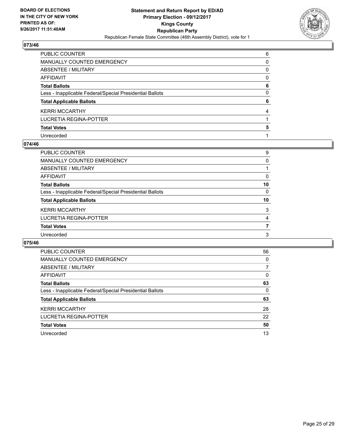

| PUBLIC COUNTER                                           | 6 |
|----------------------------------------------------------|---|
| <b>MANUALLY COUNTED EMERGENCY</b>                        | 0 |
| ABSENTEE / MILITARY                                      | 0 |
| AFFIDAVIT                                                | 0 |
| <b>Total Ballots</b>                                     | 6 |
| Less - Inapplicable Federal/Special Presidential Ballots | 0 |
| <b>Total Applicable Ballots</b>                          | 6 |
| <b>KERRI MCCARTHY</b>                                    | 4 |
| LUCRETIA REGINA-POTTER                                   |   |
| <b>Total Votes</b>                                       | 5 |
| Unrecorded                                               |   |

## **074/46**

| 9  |
|----|
| 0  |
|    |
| 0  |
| 10 |
| 0  |
| 10 |
| 3  |
| 4  |
| 7  |
| 3  |
|    |

| <b>PUBLIC COUNTER</b>                                    | 56 |
|----------------------------------------------------------|----|
| <b>MANUALLY COUNTED EMERGENCY</b>                        | 0  |
| ABSENTEE / MILITARY                                      | 7  |
| AFFIDAVIT                                                | 0  |
| <b>Total Ballots</b>                                     | 63 |
| Less - Inapplicable Federal/Special Presidential Ballots | 0  |
| <b>Total Applicable Ballots</b>                          | 63 |
| <b>KERRI MCCARTHY</b>                                    | 28 |
| LUCRETIA REGINA-POTTER                                   | 22 |
| <b>Total Votes</b>                                       | 50 |
| Unrecorded                                               | 13 |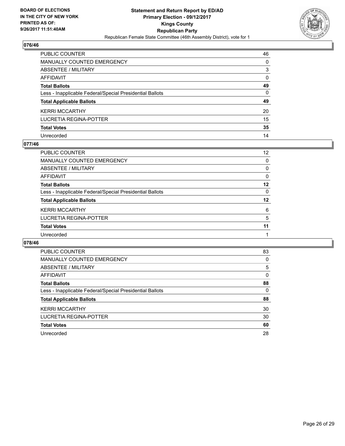

| PUBLIC COUNTER                                           | 46           |
|----------------------------------------------------------|--------------|
| <b>MANUALLY COUNTED EMERGENCY</b>                        | 0            |
| <b>ABSENTEE / MILITARY</b>                               | 3            |
| <b>AFFIDAVIT</b>                                         | $\Omega$     |
| <b>Total Ballots</b>                                     | 49           |
| Less - Inapplicable Federal/Special Presidential Ballots | $\mathbf{0}$ |
| <b>Total Applicable Ballots</b>                          | 49           |
| <b>KERRI MCCARTHY</b>                                    | 20           |
| <b>LUCRETIA REGINA-POTTER</b>                            | 15           |
| <b>Total Votes</b>                                       | 35           |
| Unrecorded                                               | 14           |

## **077/46**

| <b>PUBLIC COUNTER</b>                                    | 12 |
|----------------------------------------------------------|----|
| <b>MANUALLY COUNTED EMERGENCY</b>                        | 0  |
| ABSENTEE / MILITARY                                      | 0  |
| AFFIDAVIT                                                | 0  |
| <b>Total Ballots</b>                                     | 12 |
| Less - Inapplicable Federal/Special Presidential Ballots | 0  |
| <b>Total Applicable Ballots</b>                          | 12 |
| <b>KERRI MCCARTHY</b>                                    | 6  |
| LUCRETIA REGINA-POTTER                                   | 5  |
| <b>Total Votes</b>                                       | 11 |
| Unrecorded                                               |    |

| <b>PUBLIC COUNTER</b>                                    | 83 |
|----------------------------------------------------------|----|
| <b>MANUALLY COUNTED EMERGENCY</b>                        | 0  |
| ABSENTEE / MILITARY                                      | 5  |
| AFFIDAVIT                                                | 0  |
| <b>Total Ballots</b>                                     | 88 |
| Less - Inapplicable Federal/Special Presidential Ballots | 0  |
| <b>Total Applicable Ballots</b>                          | 88 |
| <b>KERRI MCCARTHY</b>                                    | 30 |
| LUCRETIA REGINA-POTTER                                   | 30 |
| <b>Total Votes</b>                                       | 60 |
| Unrecorded                                               | 28 |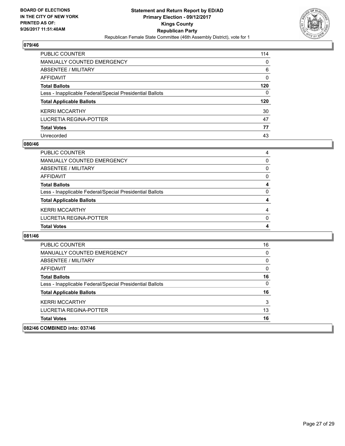

| PUBLIC COUNTER                                           | 114 |
|----------------------------------------------------------|-----|
| <b>MANUALLY COUNTED EMERGENCY</b>                        | 0   |
| ABSENTEE / MILITARY                                      | 6   |
| <b>AFFIDAVIT</b>                                         | 0   |
| <b>Total Ballots</b>                                     | 120 |
| Less - Inapplicable Federal/Special Presidential Ballots | 0   |
| <b>Total Applicable Ballots</b>                          | 120 |
| <b>KERRI MCCARTHY</b>                                    | 30  |
| LUCRETIA REGINA-POTTER                                   | 47  |
| <b>Total Votes</b>                                       | 77  |
| Unrecorded                                               | 43  |

## **080/46**

| <b>PUBLIC COUNTER</b>                                    | 4 |
|----------------------------------------------------------|---|
| <b>MANUALLY COUNTED EMERGENCY</b>                        | 0 |
| ABSENTEE / MILITARY                                      | 0 |
| AFFIDAVIT                                                | 0 |
| <b>Total Ballots</b>                                     | 4 |
| Less - Inapplicable Federal/Special Presidential Ballots | 0 |
| <b>Total Applicable Ballots</b>                          | 4 |
| <b>KERRI MCCARTHY</b>                                    | 4 |
| LUCRETIA REGINA-POTTER                                   | 0 |
| <b>Total Votes</b>                                       | 4 |

| 082/46 COMBINED into: 037/46                             |    |
|----------------------------------------------------------|----|
| <b>Total Votes</b>                                       | 16 |
| LUCRETIA REGINA-POTTER                                   | 13 |
| <b>KERRI MCCARTHY</b>                                    | 3  |
| <b>Total Applicable Ballots</b>                          | 16 |
| Less - Inapplicable Federal/Special Presidential Ballots | 0  |
| <b>Total Ballots</b>                                     | 16 |
| AFFIDAVIT                                                | 0  |
| ABSENTEE / MILITARY                                      | 0  |
| <b>MANUALLY COUNTED EMERGENCY</b>                        | 0  |
| <b>PUBLIC COUNTER</b>                                    | 16 |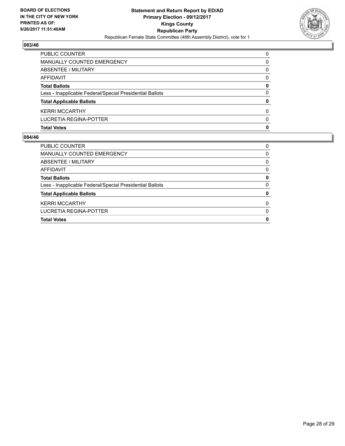

| <b>PUBLIC COUNTER</b>                                    | $\Omega$ |
|----------------------------------------------------------|----------|
| MANUALLY COUNTED EMERGENCY                               | 0        |
| ABSENTEE / MILITARY                                      | 0        |
| AFFIDAVIT                                                | $\Omega$ |
| <b>Total Ballots</b>                                     | 0        |
| Less - Inapplicable Federal/Special Presidential Ballots | 0        |
| <b>Total Applicable Ballots</b>                          | 0        |
| <b>KERRI MCCARTHY</b>                                    | 0        |
| LUCRETIA REGINA-POTTER                                   | 0        |
| <b>Total Votes</b>                                       | 0        |

| <b>PUBLIC COUNTER</b>                                    | 0        |
|----------------------------------------------------------|----------|
| MANUALLY COUNTED EMERGENCY                               | 0        |
| ABSENTEE / MILITARY                                      | 0        |
| AFFIDAVIT                                                | 0        |
| <b>Total Ballots</b>                                     | 0        |
| Less - Inapplicable Federal/Special Presidential Ballots | 0        |
| <b>Total Applicable Ballots</b>                          | 0        |
| <b>KERRI MCCARTHY</b>                                    | $\Omega$ |
| LUCRETIA REGINA-POTTER                                   | O        |
| <b>Total Votes</b>                                       | 0        |